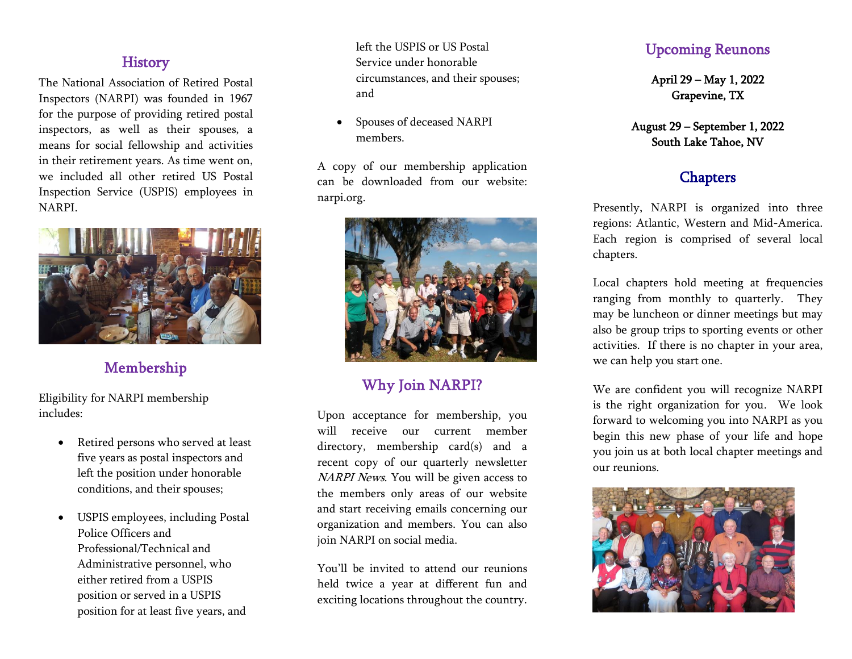### **History**

The National Association of Retired Postal Inspectors (NARPI) was founded in 1967 for the purpose of providing retired postal inspectors, as well as their spouses, a means for social fellowship and activities in their retirement years. As time went on, we included all other retired US Postal Inspection Service (USPIS) employees in NARPI.



Membership

Eligibility for NARPI membership includes:

- Retired persons who served at least five years as postal inspectors and left the position under honorable conditions, and their spouses;
- USPIS employees, including Postal Police Officers and Professional/Technical and Administrative personnel, who either retired from a USPIS position or served in a USPIS position for at least five years, and

left the USPIS or US Postal Service under honorable circumstances, and their spouses; and

• Spouses of deceased NARPI members.

A copy of our membership application can be downloaded from our website: narpi.org.



# Why Join NARPI?

Upon acceptance for membership, you will receive our current member directory, membership card(s) and a recent copy of our quarterly newsletter NARPI News. You will be given access to the members only areas of our website and start receiving emails concerning our organization and members. You can also join NARPI on social media.

You'll be invited to attend our reunions held twice a year at different fun and exciting locations throughout the country.

## Upcoming Reunons

April 29 – May 1, 2022 Grapevine, TX

### August 29 – September 1, 2022 South Lake Tahoe, NV

# **Chapters**

Presently, NARPI is organized into three regions: Atlantic, Western and Mid-America. Each region is comprised of several local chapters.

Local chapters hold meeting at frequencies ranging from monthly to quarterly. They may be luncheon or dinner meetings but may also be group trips to sporting events or other activities. If there is no chapter in your area, we can help you start one.

We are confident you will recognize NARPI is the right organization for you. We look forward to welcoming you into NARPI as you begin this new phase of your life and hope you join us at both local chapter meetings and our reunions.